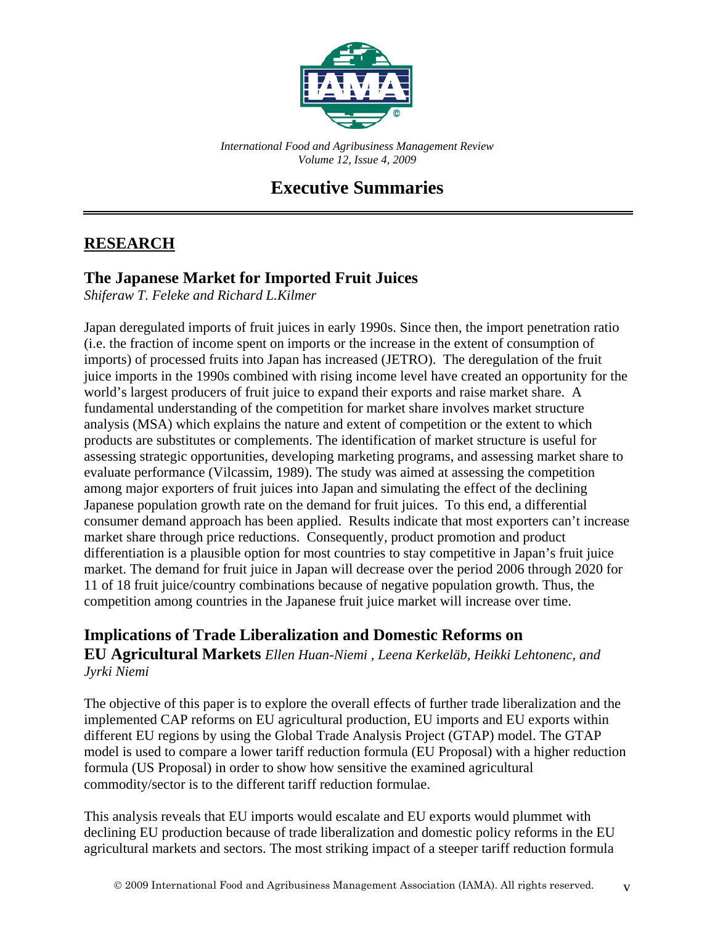

*International Food and Agribusiness Management Review Volume 12, Issue 4, 2009*

## **Executive Summaries**

#### **RESEARCH**

#### **The Japanese Market for Imported Fruit Juices**

*Shiferaw T. Feleke and Richard L.Kilmer*

Japan deregulated imports of fruit juices in early 1990s. Since then, the import penetration ratio (i.e. the fraction of income spent on imports or the increase in the extent of consumption of imports) of processed fruits into Japan has increased (JETRO). The deregulation of the fruit juice imports in the 1990s combined with rising income level have created an opportunity for the world's largest producers of fruit juice to expand their exports and raise market share. A fundamental understanding of the competition for market share involves market structure analysis (MSA) which explains the nature and extent of competition or the extent to which products are substitutes or complements. The identification of market structure is useful for assessing strategic opportunities, developing marketing programs, and assessing market share to evaluate performance (Vilcassim, 1989). The study was aimed at assessing the competition among major exporters of fruit juices into Japan and simulating the effect of the declining Japanese population growth rate on the demand for fruit juices. To this end, a differential consumer demand approach has been applied. Results indicate that most exporters can't increase market share through price reductions. Consequently, product promotion and product differentiation is a plausible option for most countries to stay competitive in Japan's fruit juice market. The demand for fruit juice in Japan will decrease over the period 2006 through 2020 for 11 of 18 fruit juice/country combinations because of negative population growth. Thus, the competition among countries in the Japanese fruit juice market will increase over time.

#### **Implications of Trade Liberalization and Domestic Reforms on EU Agricultural Markets** *Ellen Huan-Niemi , Leena Kerkeläb, Heikki Lehtonenc, and Jyrki Niemi*

The objective of this paper is to explore the overall effects of further trade liberalization and the implemented CAP reforms on EU agricultural production, EU imports and EU exports within different EU regions by using the Global Trade Analysis Project (GTAP) model. The GTAP model is used to compare a lower tariff reduction formula (EU Proposal) with a higher reduction formula (US Proposal) in order to show how sensitive the examined agricultural commodity/sector is to the different tariff reduction formulae.

This analysis reveals that EU imports would escalate and EU exports would plummet with declining EU production because of trade liberalization and domestic policy reforms in the EU agricultural markets and sectors. The most striking impact of a steeper tariff reduction formula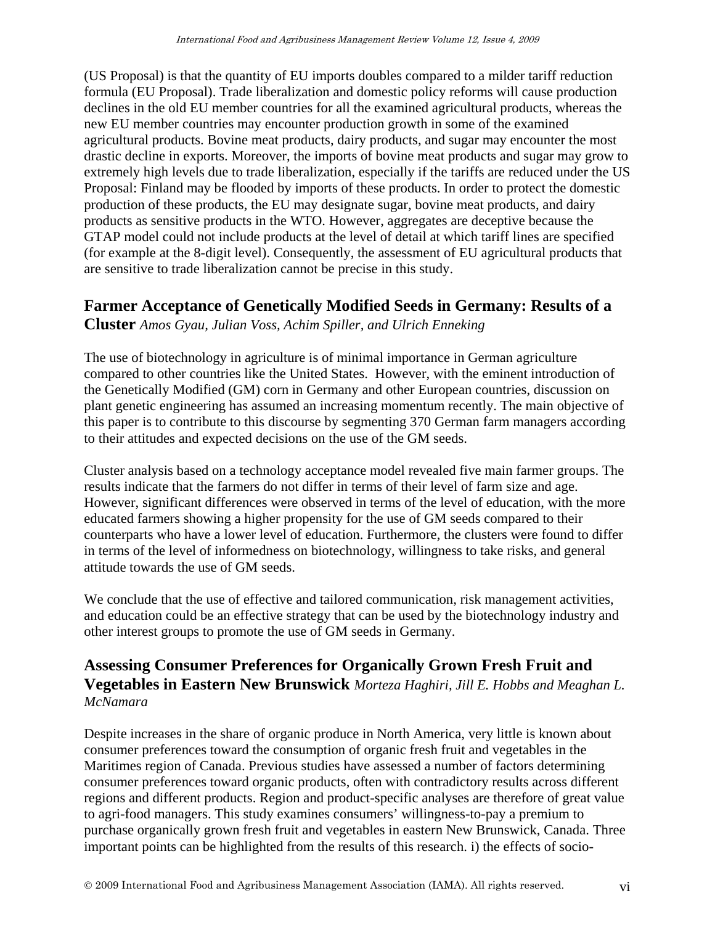(US Proposal) is that the quantity of EU imports doubles compared to a milder tariff reduction formula (EU Proposal). Trade liberalization and domestic policy reforms will cause production declines in the old EU member countries for all the examined agricultural products, whereas the new EU member countries may encounter production growth in some of the examined agricultural products. Bovine meat products, dairy products, and sugar may encounter the most drastic decline in exports. Moreover, the imports of bovine meat products and sugar may grow to extremely high levels due to trade liberalization, especially if the tariffs are reduced under the US Proposal: Finland may be flooded by imports of these products. In order to protect the domestic production of these products, the EU may designate sugar, bovine meat products, and dairy products as sensitive products in the WTO. However, aggregates are deceptive because the GTAP model could not include products at the level of detail at which tariff lines are specified (for example at the 8-digit level). Consequently, the assessment of EU agricultural products that are sensitive to trade liberalization cannot be precise in this study.

#### **Farmer Acceptance of Genetically Modified Seeds in Germany: Results of a**

**Cluster** *Amos Gyau, Julian Voss, Achim Spiller, and Ulrich Enneking*

The use of biotechnology in agriculture is of minimal importance in German agriculture compared to other countries like the United States. However, with the eminent introduction of the Genetically Modified (GM) corn in Germany and other European countries, discussion on plant genetic engineering has assumed an increasing momentum recently. The main objective of this paper is to contribute to this discourse by segmenting 370 German farm managers according to their attitudes and expected decisions on the use of the GM seeds.

Cluster analysis based on a technology acceptance model revealed five main farmer groups. The results indicate that the farmers do not differ in terms of their level of farm size and age. However, significant differences were observed in terms of the level of education, with the more educated farmers showing a higher propensity for the use of GM seeds compared to their counterparts who have a lower level of education. Furthermore, the clusters were found to differ in terms of the level of informedness on biotechnology, willingness to take risks, and general attitude towards the use of GM seeds.

We conclude that the use of effective and tailored communication, risk management activities, and education could be an effective strategy that can be used by the biotechnology industry and other interest groups to promote the use of GM seeds in Germany.

#### **Assessing Consumer Preferences for Organically Grown Fresh Fruit and Vegetables in Eastern New Brunswick** *Morteza Haghiri, Jill E. Hobbs and Meaghan L. McNamara*

Despite increases in the share of organic produce in North America, very little is known about consumer preferences toward the consumption of organic fresh fruit and vegetables in the Maritimes region of Canada. Previous studies have assessed a number of factors determining consumer preferences toward organic products, often with contradictory results across different regions and different products. Region and product-specific analyses are therefore of great value to agri-food managers. This study examines consumers' willingness-to-pay a premium to purchase organically grown fresh fruit and vegetables in eastern New Brunswick, Canada. Three important points can be highlighted from the results of this research. i) the effects of socio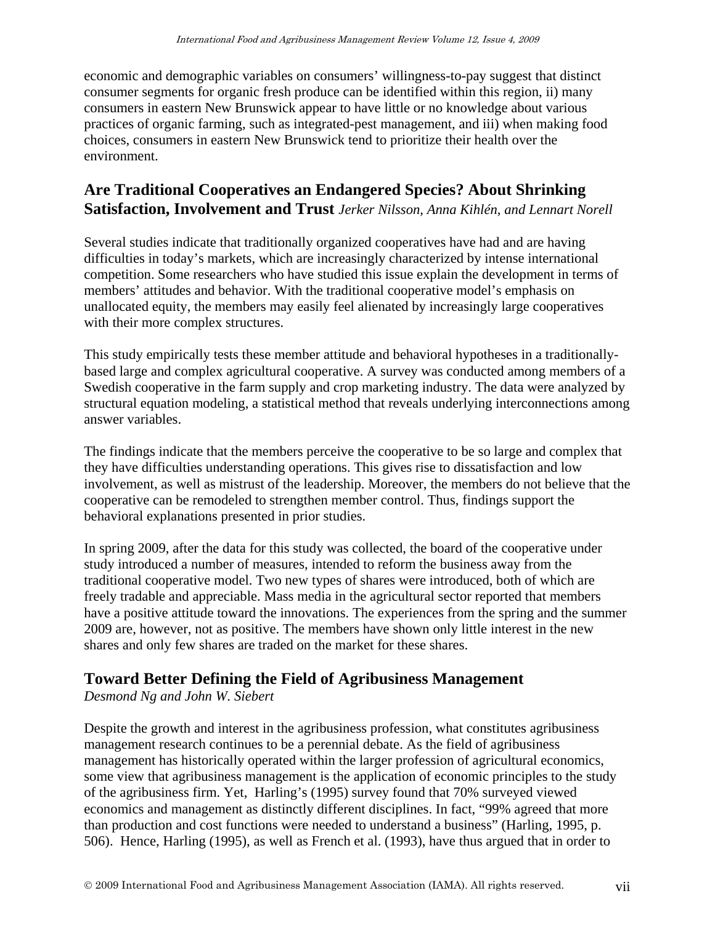economic and demographic variables on consumers' willingness-to-pay suggest that distinct consumer segments for organic fresh produce can be identified within this region, ii) many consumers in eastern New Brunswick appear to have little or no knowledge about various practices of organic farming, such as integrated-pest management, and iii) when making food choices, consumers in eastern New Brunswick tend to prioritize their health over the environment.

#### **Are Traditional Cooperatives an Endangered Species? About Shrinking Satisfaction, Involvement and Trust** *Jerker Nilsson, Anna Kihlén, and Lennart Norell*

Several studies indicate that traditionally organized cooperatives have had and are having difficulties in today's markets, which are increasingly characterized by intense international competition. Some researchers who have studied this issue explain the development in terms of members' attitudes and behavior. With the traditional cooperative model's emphasis on unallocated equity, the members may easily feel alienated by increasingly large cooperatives with their more complex structures.

This study empirically tests these member attitude and behavioral hypotheses in a traditionallybased large and complex agricultural cooperative. A survey was conducted among members of a Swedish cooperative in the farm supply and crop marketing industry. The data were analyzed by structural equation modeling, a statistical method that reveals underlying interconnections among answer variables.

The findings indicate that the members perceive the cooperative to be so large and complex that they have difficulties understanding operations. This gives rise to dissatisfaction and low involvement, as well as mistrust of the leadership. Moreover, the members do not believe that the cooperative can be remodeled to strengthen member control. Thus, findings support the behavioral explanations presented in prior studies.

In spring 2009, after the data for this study was collected, the board of the cooperative under study introduced a number of measures, intended to reform the business away from the traditional cooperative model. Two new types of shares were introduced, both of which are freely tradable and appreciable. Mass media in the agricultural sector reported that members have a positive attitude toward the innovations. The experiences from the spring and the summer 2009 are, however, not as positive. The members have shown only little interest in the new shares and only few shares are traded on the market for these shares.

### **Toward Better Defining the Field of Agribusiness Management**

*Desmond Ng and John W. Siebert*

Despite the growth and interest in the agribusiness profession, what constitutes agribusiness management research continues to be a perennial debate. As the field of agribusiness management has historically operated within the larger profession of agricultural economics, some view that agribusiness management is the application of economic principles to the study of the agribusiness firm. Yet, Harling's (1995) survey found that 70% surveyed viewed economics and management as distinctly different disciplines. In fact, "99% agreed that more than production and cost functions were needed to understand a business" (Harling, 1995, p. 506). Hence, Harling (1995), as well as French et al. (1993), have thus argued that in order to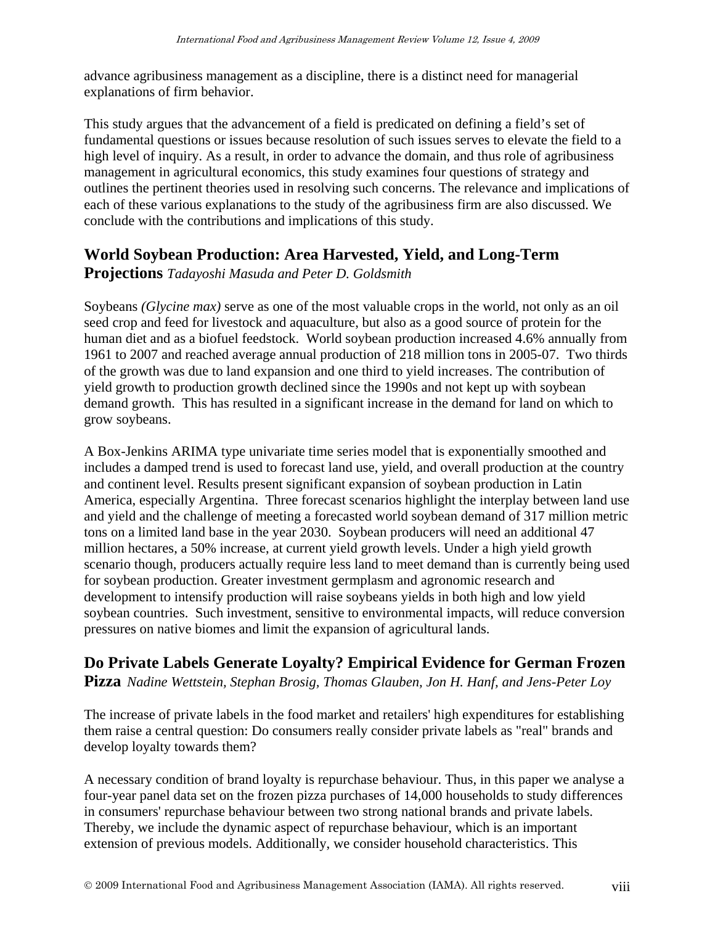advance agribusiness management as a discipline, there is a distinct need for managerial explanations of firm behavior.

This study argues that the advancement of a field is predicated on defining a field's set of fundamental questions or issues because resolution of such issues serves to elevate the field to a high level of inquiry. As a result, in order to advance the domain, and thus role of agribusiness management in agricultural economics, this study examines four questions of strategy and outlines the pertinent theories used in resolving such concerns. The relevance and implications of each of these various explanations to the study of the agribusiness firm are also discussed. We conclude with the contributions and implications of this study.

#### **World Soybean Production: Area Harvested, Yield, and Long-Term**

**Projections** *Tadayoshi Masuda and Peter D. Goldsmith*

Soybeans *(Glycine max)* serve as one of the most valuable crops in the world, not only as an oil seed crop and feed for livestock and aquaculture, but also as a good source of protein for the human diet and as a biofuel feedstock. World soybean production increased 4.6% annually from 1961 to 2007 and reached average annual production of 218 million tons in 2005-07. Two thirds of the growth was due to land expansion and one third to yield increases. The contribution of yield growth to production growth declined since the 1990s and not kept up with soybean demand growth. This has resulted in a significant increase in the demand for land on which to grow soybeans.

A Box-Jenkins ARIMA type univariate time series model that is exponentially smoothed and includes a damped trend is used to forecast land use, yield, and overall production at the country and continent level. Results present significant expansion of soybean production in Latin America, especially Argentina. Three forecast scenarios highlight the interplay between land use and yield and the challenge of meeting a forecasted world soybean demand of 317 million metric tons on a limited land base in the year 2030. Soybean producers will need an additional 47 million hectares, a 50% increase, at current yield growth levels. Under a high yield growth scenario though, producers actually require less land to meet demand than is currently being used for soybean production. Greater investment germplasm and agronomic research and development to intensify production will raise soybeans yields in both high and low yield soybean countries. Such investment, sensitive to environmental impacts, will reduce conversion pressures on native biomes and limit the expansion of agricultural lands.

# **Do Private Labels Generate Loyalty? Empirical Evidence for German Frozen**

**Pizza** *Nadine Wettstein, Stephan Brosig, Thomas Glauben, Jon H. Hanf, and Jens-Peter Loy*

The increase of private labels in the food market and retailers' high expenditures for establishing them raise a central question: Do consumers really consider private labels as "real" brands and develop loyalty towards them?

A necessary condition of brand loyalty is repurchase behaviour. Thus, in this paper we analyse a four-year panel data set on the frozen pizza purchases of 14,000 households to study differences in consumers' repurchase behaviour between two strong national brands and private labels. Thereby, we include the dynamic aspect of repurchase behaviour, which is an important extension of previous models. Additionally, we consider household characteristics. This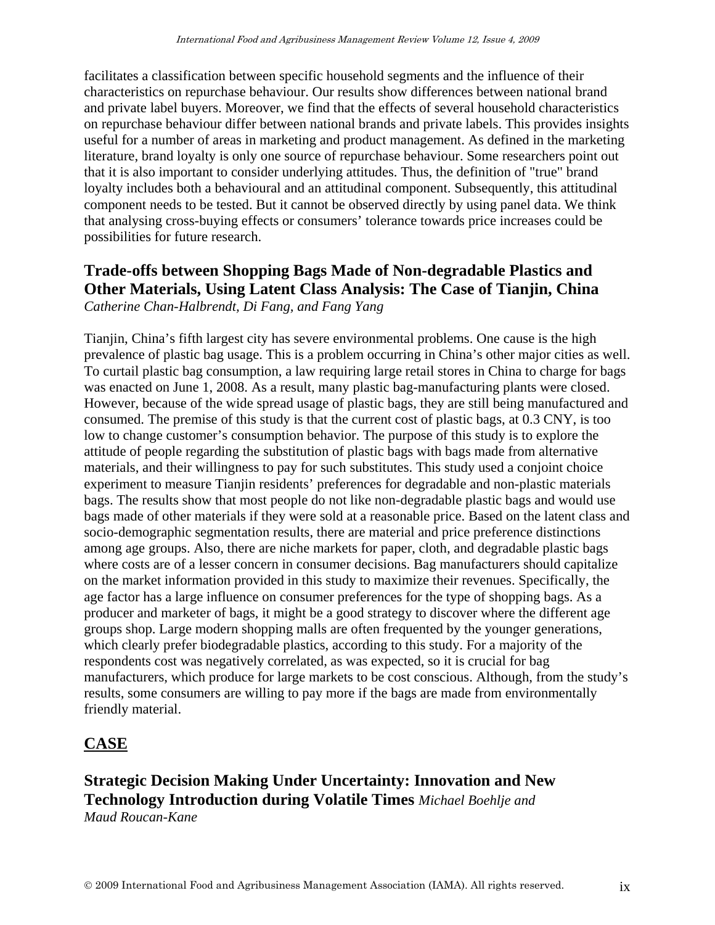facilitates a classification between specific household segments and the influence of their characteristics on repurchase behaviour. Our results show differences between national brand and private label buyers. Moreover, we find that the effects of several household characteristics on repurchase behaviour differ between national brands and private labels. This provides insights useful for a number of areas in marketing and product management. As defined in the marketing literature, brand loyalty is only one source of repurchase behaviour. Some researchers point out that it is also important to consider underlying attitudes. Thus, the definition of "true" brand loyalty includes both a behavioural and an attitudinal component. Subsequently, this attitudinal component needs to be tested. But it cannot be observed directly by using panel data. We think that analysing cross-buying effects or consumers' tolerance towards price increases could be possibilities for future research.

#### **Trade-offs between Shopping Bags Made of Non-degradable Plastics and Other Materials, Using Latent Class Analysis: The Case of Tianjin, China** *Catherine Chan-Halbrendt, Di Fang, and Fang Yang*

Tianjin, China's fifth largest city has severe environmental problems. One cause is the high prevalence of plastic bag usage. This is a problem occurring in China's other major cities as well. To curtail plastic bag consumption, a law requiring large retail stores in China to charge for bags was enacted on June 1, 2008. As a result, many plastic bag-manufacturing plants were closed. However, because of the wide spread usage of plastic bags, they are still being manufactured and consumed. The premise of this study is that the current cost of plastic bags, at 0.3 CNY, is too low to change customer's consumption behavior. The purpose of this study is to explore the attitude of people regarding the substitution of plastic bags with bags made from alternative materials, and their willingness to pay for such substitutes. This study used a conjoint choice experiment to measure Tianjin residents' preferences for degradable and non-plastic materials bags. The results show that most people do not like non-degradable plastic bags and would use bags made of other materials if they were sold at a reasonable price. Based on the latent class and socio-demographic segmentation results, there are material and price preference distinctions among age groups. Also, there are niche markets for paper, cloth, and degradable plastic bags where costs are of a lesser concern in consumer decisions. Bag manufacturers should capitalize on the market information provided in this study to maximize their revenues. Specifically, the age factor has a large influence on consumer preferences for the type of shopping bags. As a producer and marketer of bags, it might be a good strategy to discover where the different age groups shop. Large modern shopping malls are often frequented by the younger generations, which clearly prefer biodegradable plastics, according to this study. For a majority of the respondents cost was negatively correlated, as was expected, so it is crucial for bag manufacturers, which produce for large markets to be cost conscious. Although, from the study's results, some consumers are willing to pay more if the bags are made from environmentally friendly material.

#### **CASE**

**Strategic Decision Making Under Uncertainty: Innovation and New Technology Introduction during Volatile Times** *Michael Boehlje and Maud Roucan-Kane*